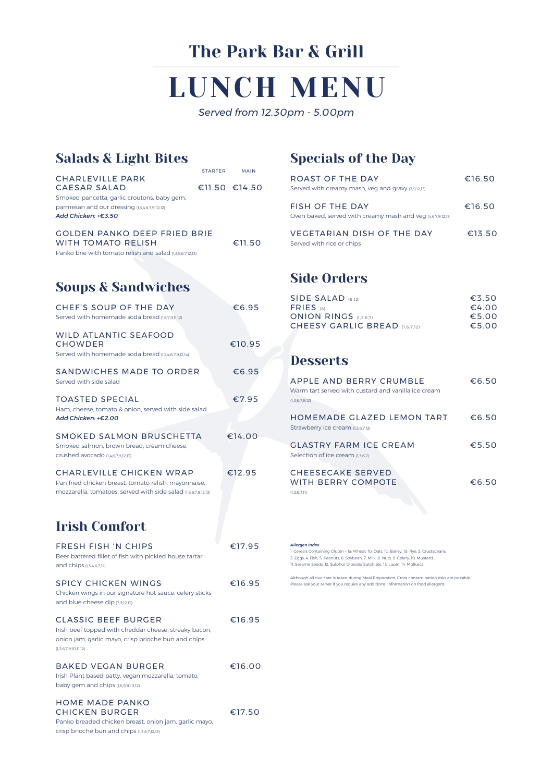## Salads & Light Bites

Irish Plant based patty, vegan mozzarella, tomato, baby gem and chips (1,6,9,10,11,12)

#### HOME MADE PANKO CHICKEN BURGER €17.50

| FRESH FISH 'N CHIPS                                    | €17.95 |
|--------------------------------------------------------|--------|
| Beer battered fillet of fish with pickled house tartar |        |
| and chips (1,3,4,6,7,12)                               |        |
| <b>SPICY CHICKEN WINGS</b>                             | €16.95 |

|                                                                                                                                                                | STARTER | <b>MAIN</b>   |
|----------------------------------------------------------------------------------------------------------------------------------------------------------------|---------|---------------|
| <b>CHARLEVILLE PARK</b><br>CAESAR SALAD<br>Smoked pancetta, garlic croutons, baby gem,<br>parmesan and our dressing (1,3,4,6,7,9,10,12)<br>Add Chicken: +€3.50 |         | €11.50 €14.50 |
| <b>GOLDEN PANKO DEEP FRIED BRIE</b><br><b>WITH TOMATO RELISH</b><br>Panko brie with tomato relish and salad (1,3,5,6,7,12,13)                                  |         | €11.50        |
| <b>Soups &amp; Sandwiches</b>                                                                                                                                  |         |               |
| CHEF'S SOUP OF THE DAY<br>Served with homemade soda bread (1,6,7,9,11,12)                                                                                      |         | €6.95         |
| <b>WILD ATLANTIC SEAFOOD</b><br><b>CHOWDER</b><br>Served with homemade soda bread 0246791214)                                                                  |         | €10.95        |
| SANDWICHES MADE TO ORDER<br>Served with side salad                                                                                                             |         | €6.95         |
| <b>TOASTED SPECIAL</b><br>Ham, cheese, tomato & onion, served with side salad<br>Add Chicken: +€2.00                                                           |         | €7.95         |
| SMOKED SALMON BRUSCHETTA<br>Smoked salmon, brown bread, cream cheese,<br>Crushed avocado (146791213)                                                           |         | €14.00        |
| CHARLEVILLE CHICKEN WRAP<br>Pan fried chicken breast, tomato relish, mayonnaise,<br>mozzarella, tomatoes, served with side salad (1,5,6,7,9,12,13)             |         | €12.95        |
| <b>Irish Comfort</b>                                                                                                                                           |         |               |
| <b>FRESH FISH 'N CHIPS</b>                                                                                                                                     |         | €17.95        |

Chicken wings in our signature hot sauce, celery sticks and blue cheese dip (7,9,12,13)

#### CLASSIC BEEF BURGER €16.95

Irish beef topped with cheddar cheese, streaky bacon, onion jam, garlic mayo, crisp brioche bun and chips (1,3,6,7,9,10,11,12)

#### BAKED VEGAN BURGER €16.00

Panko breaded chicken breast, onion jam, garlic mayo,

crisp brioche bun and chips (1,3,6,7,12,13)

#### *Allergen Index*

1. Cereals Containing Gluten – 1a: Wheat, 1b: Oats, 1c: Barley, 1d: Rye, 2. Crustaceans, 3. Eggs, 4. Fish, 5. Peanuts, 6. Soybean, 7. Milk, 8. Nuts, 9. Celery, 10. Mustard, 11. Sesame Seeds, 12. Sulphur Dioxide/ Sulphites, 13. Lupin, 14. Molluscs.

Although all due care is taken during Meal Preparation, Cross contamination risks are possible. Please ask your server if you require any additional information on food allergens.

# LUNCH MENU

*Served from 12.30pm - 5.00pm*

## The Park Bar & Grill

## Specials of the Day

| <b>ROAST OF THE DAY</b><br>Served with creamy mash, veg and gravy (7,9,12,13)         | €16.50 |
|---------------------------------------------------------------------------------------|--------|
| <b>FISH OF THE DAY</b><br>Oven baked, served with creamy mash and veg (4,6,7,9,12,13) | €16.50 |
| <b>VEGETARIAN DISH OF THE DAY</b><br>Served with rice or chips                        | €13.50 |

## Side Orders

| SIDE SALAD (6.12)                     | $\epsilon$ 3.50 |
|---------------------------------------|-----------------|
| <b>FRIES</b> (6)                      | €4.00           |
| <b>ONION RINGS (1.3.6.7)</b>          | €5.00           |
| <b>CHEESY GARLIC BREAD</b> (1.6.7.12) | €5.00           |

## **Desserts**

| APPLE AND BERRY CRUMBLE                             | €6.50 |
|-----------------------------------------------------|-------|
| Warm tart served with custard and vanilla ice cream |       |
| (1,3,6,7,8,12)                                      |       |
| HOMEMADE GLAZED LEMON TART                          | €6.50 |
| Strawberry ice cream (1,3,6,7,12)                   |       |
| <b>GLASTRY FARM ICE CREAM</b>                       | €5.50 |
| Selection of ice cream (1.3.6.7)                    |       |
| <b>CHEESECAKE SERVED</b>                            |       |
| WITH BERRY COMPOTE                                  | €6.50 |
| (1,3,6,7,11)                                        |       |